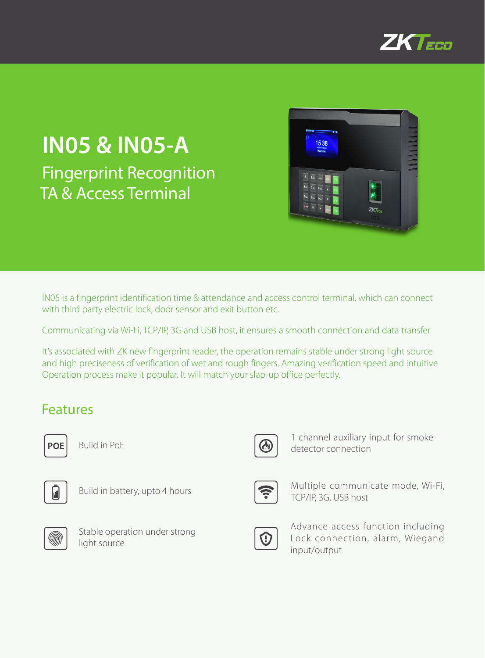

## **IN05 & IN05-A** Fingerprint Recognition TA & Access Terminal



IN05 is a fingerprint identification time & attendance and access control terminal, which can connect with third party electric lock, door sensor and exit button etc.

Communicating via Wi-Fi, TCP/IP, 3G and USB host, it ensures a smooth connection and data transfer.

It's associated with ZK new fingerprint reader, the operation remains stable under strong light source and high preciseness of verification of wet and rough fingers. Amazing verification speed and intuitive Operation process make it popular. It will match your slap-up office perfectly.

### Features



Build in PoE



Build in battery, upto 4 hours



Stable operation under strong light source



1 channel auxiliary input for smoke detector connection



Multiple communicate mode, Wi-Fi, TCP/IP, 3G, USB host



Advance access function including Lock connection, alarm, Wiegand input/output